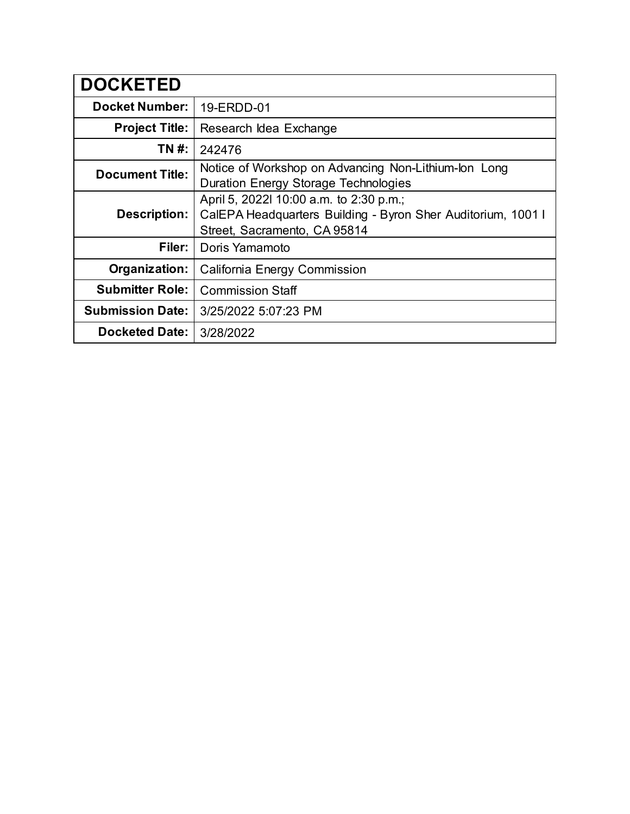| <b>DOCKETED</b>         |                                                                                                                                         |
|-------------------------|-----------------------------------------------------------------------------------------------------------------------------------------|
| <b>Docket Number:</b>   | 19-ERDD-01                                                                                                                              |
| <b>Project Title:</b>   | Research Idea Exchange                                                                                                                  |
| TN #:                   | 242476                                                                                                                                  |
| <b>Document Title:</b>  | Notice of Workshop on Advancing Non-Lithium-lon Long<br>Duration Energy Storage Technologies                                            |
| <b>Description:</b>     | April 5, 2022l 10:00 a.m. to 2:30 p.m.;<br>CalEPA Headquarters Building - Byron Sher Auditorium, 1001 I<br>Street, Sacramento, CA 95814 |
| Filer:                  | Doris Yamamoto                                                                                                                          |
| Organization:           | <b>California Energy Commission</b>                                                                                                     |
| <b>Submitter Role:</b>  | <b>Commission Staff</b>                                                                                                                 |
| <b>Submission Date:</b> | 3/25/2022 5:07:23 PM                                                                                                                    |
| <b>Docketed Date:</b>   | 3/28/2022                                                                                                                               |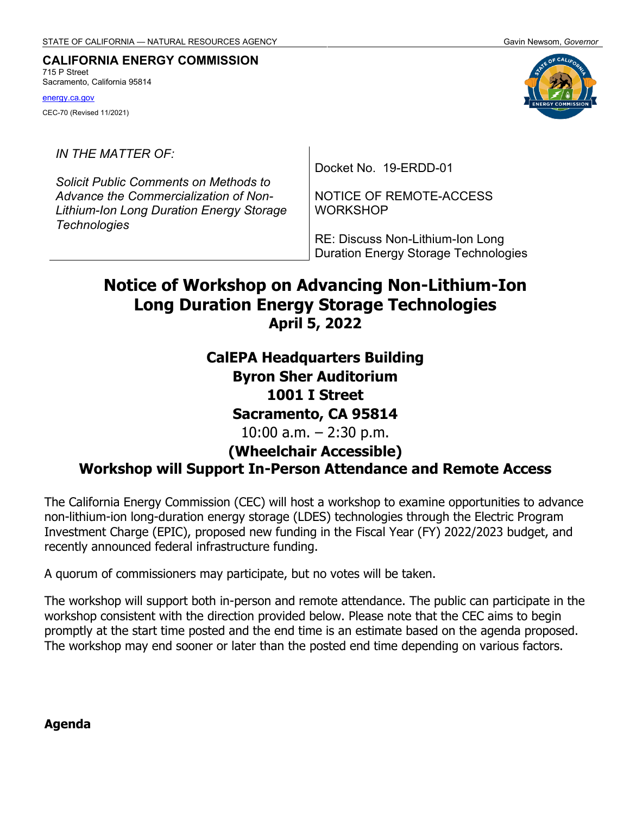#### **CALIFORNIA ENERGY COMMISSION** 715 P Street

Sacramento, California 95814

[energy.ca.gov](http://www.energy.ca.gov/) CEC-70 (Revised 11/2021)

*IN THE MATTER OF:*

*Solicit Public Comments on Methods to Advance the Commercialization of Non-Lithium-Ion Long Duration Energy Storage Technologies*

Docket No. 19-ERDD-01

NOTICE OF REMOTE-ACCESS **WORKSHOP** 

RE: Discuss Non-Lithium-Ion Long Duration Energy Storage Technologies

# **Notice of Workshop on Advancing Non-Lithium-Ion Long Duration Energy Storage Technologies April 5, 2022**

**CalEPA Headquarters Building Byron Sher Auditorium 1001 I Street Sacramento, CA 95814** 10:00 a.m. – 2:30 p.m.

## **(Wheelchair Accessible) Workshop will Support In-Person Attendance and Remote Access**

The California Energy Commission (CEC) will host a workshop to examine opportunities to advance non-lithium-ion long-duration energy storage (LDES) technologies through the Electric Program Investment Charge (EPIC), proposed new funding in the Fiscal Year (FY) 2022/2023 budget, and recently announced federal infrastructure funding.

A quorum of commissioners may participate, but no votes will be taken.

The workshop will support both in-person and remote attendance. The public can participate in the workshop consistent with the direction provided below. Please note that the CEC aims to begin promptly at the start time posted and the end time is an estimate based on the agenda proposed. The workshop may end sooner or later than the posted end time depending on various factors.

**Agenda**

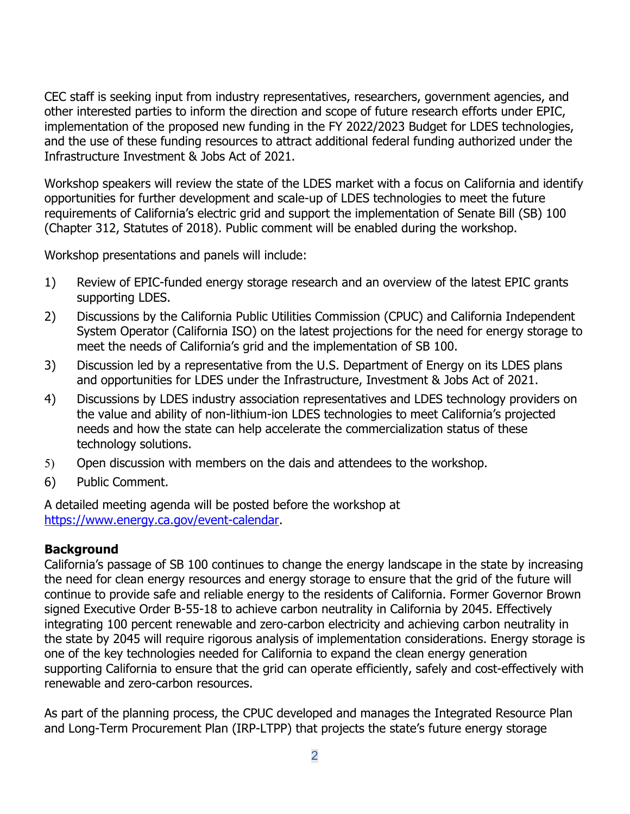CEC staff is seeking input from industry representatives, researchers, government agencies, and other interested parties to inform the direction and scope of future research efforts under EPIC, implementation of the proposed new funding in the FY 2022/2023 Budget for LDES technologies, and the use of these funding resources to attract additional federal funding authorized under the Infrastructure Investment & Jobs Act of 2021.

Workshop speakers will review the state of the LDES market with a focus on California and identify opportunities for further development and scale-up of LDES technologies to meet the future requirements of California's electric grid and support the implementation of Senate Bill (SB) 100 (Chapter 312, Statutes of 2018). Public comment will be enabled during the workshop.

Workshop presentations and panels will include:

- 1) Review of EPIC-funded energy storage research and an overview of the latest EPIC grants supporting LDES.
- 2) Discussions by the California Public Utilities Commission (CPUC) and California Independent System Operator (California ISO) on the latest projections for the need for energy storage to meet the needs of California's grid and the implementation of SB 100.
- 3) Discussion led by a representative from the U.S. Department of Energy on its LDES plans and opportunities for LDES under the Infrastructure, Investment & Jobs Act of 2021.
- 4) Discussions by LDES industry association representatives and LDES technology providers on the value and ability of non-lithium-ion LDES technologies to meet California's projected needs and how the state can help accelerate the commercialization status of these technology solutions.
- 5) Open discussion with members on the dais and attendees to the workshop.
- 6) Public Comment.

A detailed meeting agenda will be posted before the workshop at [https://www.energy.ca.gov/event-calendar.](https://www.energy.ca.gov/event-calendar)

## **Background**

California's passage of SB 100 continues to change the energy landscape in the state by increasing the need for clean energy resources and energy storage to ensure that the grid of the future will continue to provide safe and reliable energy to the residents of California. Former Governor Brown signed Executive Order B-55-18 to achieve carbon neutrality in California by 2045. Effectively integrating 100 percent renewable and zero-carbon electricity and achieving carbon neutrality in the state by 2045 will require rigorous analysis of implementation considerations. Energy storage is one of the key technologies needed for California to expand the clean energy generation supporting California to ensure that the grid can operate efficiently, safely and cost-effectively with renewable and zero-carbon resources.

As part of the planning process, the CPUC developed and manages the Integrated Resource Plan and Long-Term Procurement Plan (IRP-LTPP) that projects the state's future energy storage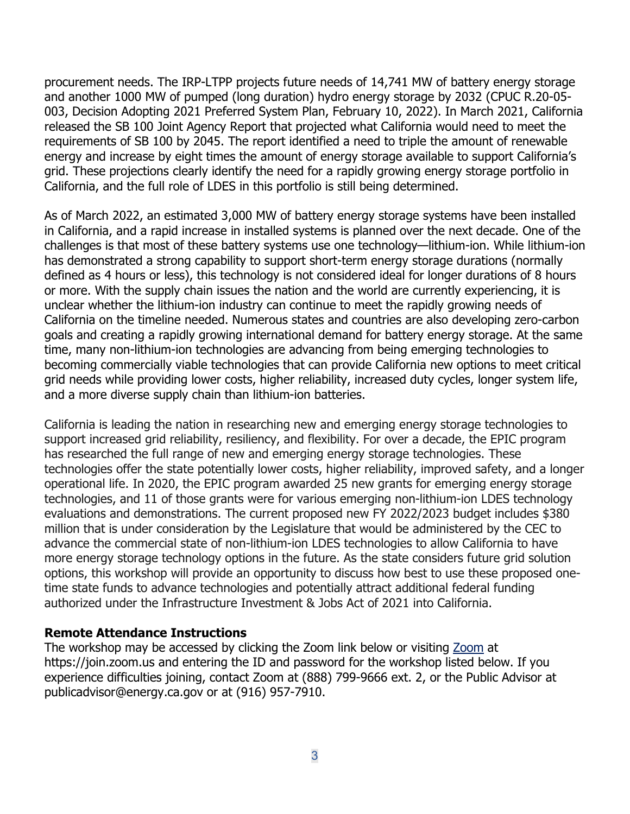procurement needs. The IRP-LTPP projects future needs of 14,741 MW of battery energy storage and another 1000 MW of pumped (long duration) hydro energy storage by 2032 (CPUC R.20-05- 003, Decision Adopting 2021 Preferred System Plan, February 10, 2022). In March 2021, California released the SB 100 Joint Agency Report that projected what California would need to meet the requirements of SB 100 by 2045. The report identified a need to triple the amount of renewable energy and increase by eight times the amount of energy storage available to support California's grid. These projections clearly identify the need for a rapidly growing energy storage portfolio in California, and the full role of LDES in this portfolio is still being determined.

As of March 2022, an estimated 3,000 MW of battery energy storage systems have been installed in California, and a rapid increase in installed systems is planned over the next decade. One of the challenges is that most of these battery systems use one technology—lithium-ion. While lithium-ion has demonstrated a strong capability to support short-term energy storage durations (normally defined as 4 hours or less), this technology is not considered ideal for longer durations of 8 hours or more. With the supply chain issues the nation and the world are currently experiencing, it is unclear whether the lithium-ion industry can continue to meet the rapidly growing needs of California on the timeline needed. Numerous states and countries are also developing zero-carbon goals and creating a rapidly growing international demand for battery energy storage. At the same time, many non-lithium-ion technologies are advancing from being emerging technologies to becoming commercially viable technologies that can provide California new options to meet critical grid needs while providing lower costs, higher reliability, increased duty cycles, longer system life, and a more diverse supply chain than lithium-ion batteries.

California is leading the nation in researching new and emerging energy storage technologies to support increased grid reliability, resiliency, and flexibility. For over a decade, the EPIC program has researched the full range of new and emerging energy storage technologies. These technologies offer the state potentially lower costs, higher reliability, improved safety, and a longer operational life. In 2020, the EPIC program awarded 25 new grants for emerging energy storage technologies, and 11 of those grants were for various emerging non-lithium-ion LDES technology evaluations and demonstrations. The current proposed new FY 2022/2023 budget includes \$380 million that is under consideration by the Legislature that would be administered by the CEC to advance the commercial state of non-lithium-ion LDES technologies to allow California to have more energy storage technology options in the future. As the state considers future grid solution options, this workshop will provide an opportunity to discuss how best to use these proposed onetime state funds to advance technologies and potentially attract additional federal funding authorized under the Infrastructure Investment & Jobs Act of 2021 into California.

#### **Remote Attendance Instructions**

The workshop may be accessed by clicking the Zoom link below or visiting [Zoom](https://join.zoom.us/) at https://join.zoom.us and entering the ID and password for the workshop listed below. If you experience difficulties joining, contact Zoom at (888) 799-9666 ext. 2, or the Public Advisor at [publicadvisor@energy.ca.gov](mailto:publicadvisor@energy.ca.gov) or at (916) 957-7910.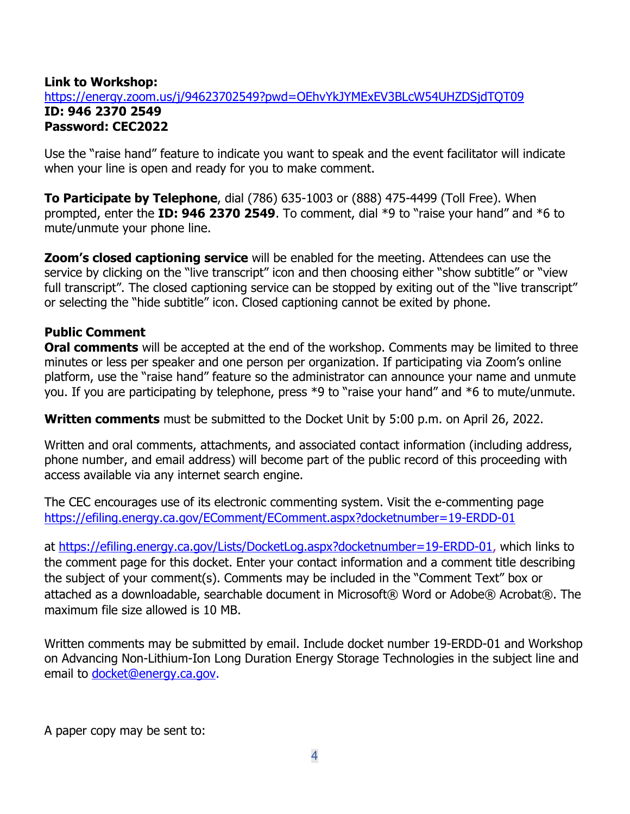## **Link to Workshop:** <https://energy.zoom.us/j/94623702549?pwd=OEhvYkJYMExEV3BLcW54UHZDSjdTQT09> **ID: 946 2370 2549 Password: CEC2022**

Use the "raise hand" feature to indicate you want to speak and the event facilitator will indicate when your line is open and ready for you to make comment.

**To Participate by Telephone**, dial (786) 635-1003 or (888) 475-4499 (Toll Free). When prompted, enter the **ID: 946 2370 2549**. To comment, dial \*9 to "raise your hand" and \*6 to mute/unmute your phone line.

**Zoom's closed captioning service** will be enabled for the meeting. Attendees can use the service by clicking on the "live transcript" icon and then choosing either "show subtitle" or "view full transcript". The closed captioning service can be stopped by exiting out of the "live transcript" or selecting the "hide subtitle" icon. Closed captioning cannot be exited by phone.

## **Public Comment**

**Oral comments** will be accepted at the end of the workshop. Comments may be limited to three minutes or less per speaker and one person per organization. If participating via Zoom's online platform, use the "raise hand" feature so the administrator can announce your name and unmute you. If you are participating by telephone, press \*9 to "raise your hand" and \*6 to mute/unmute.

**Written comments** must be submitted to the Docket Unit by 5:00 p.m. on April 26, 2022.

Written and oral comments, attachments, and associated contact information (including address, phone number, and email address) will become part of the public record of this proceeding with access available via any internet search engine.

The CEC encourages use of its electronic commenting system. Visit the [e-commenting page](https://www.energy.ca.gov/proceedings/e-filing-and-e-commenting) <https://efiling.energy.ca.gov/EComment/EComment.aspx?docketnumber=19-ERDD-01>

at [https://efiling.energy.ca.gov/Lists/DocketLog.aspx?docketnumber=19-ERDD-01,](https://efiling.energy.ca.gov/Lists/DocketLog.aspx?docketnumber=19-ERDD-01) which links to the comment page for this docket. Enter your contact information and a comment title describing the subject of your comment(s). Comments may be included in the "Comment Text" box or attached as a downloadable, searchable document in Microsoft® Word or Adobe® Acrobat®. The maximum file size allowed is 10 MB.

Written comments may be submitted by email. Include docket number 19-ERDD-01 and Workshop on Advancing Non-Lithium-Ion Long Duration Energy Storage Technologies in the subject line and email to [docket@energy.ca.gov.](mailto:docket@energy.ca.gov)

A paper copy may be sent to: